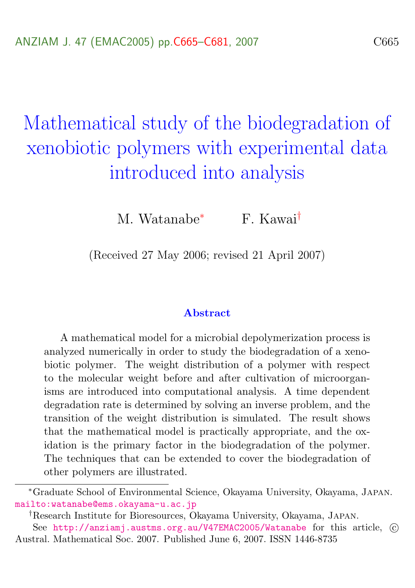# Mathematical study of the biodegradation of xenobiotic polymers with experimental data introduced into analysis

M. Watanabe<sup>∗</sup> F. Kawai†

(Received 27 May 2006; revised 21 April 2007)

#### Abstract

A mathematical model for a microbial depolymerization process is analyzed numerically in order to study the biodegradation of a xenobiotic polymer. The weight distribution of a polymer with respect to the molecular weight before and after cultivation of microorganisms are introduced into computational analysis. A time dependent degradation rate is determined by solving an inverse problem, and the transition of the weight distribution is simulated. The result shows that the mathematical model is practically appropriate, and the oxidation is the primary factor in the biodegradation of the polymer. The techniques that can be extended to cover the biodegradation of other polymers are illustrated.

<sup>∗</sup>Graduate School of Environmental Science, Okayama University, Okayama, Japan. <mailto:watanabe@ems.okayama-u.ac.jp>

<sup>†</sup>Research Institute for Bioresources, Okayama University, Okayama, Japan.

See <http://anziamj.austms.org.au/V47EMAC2005/Watanabe> for this article,  $\odot$ Austral. Mathematical Soc. 2007. Published June 6, 2007. ISSN 1446-8735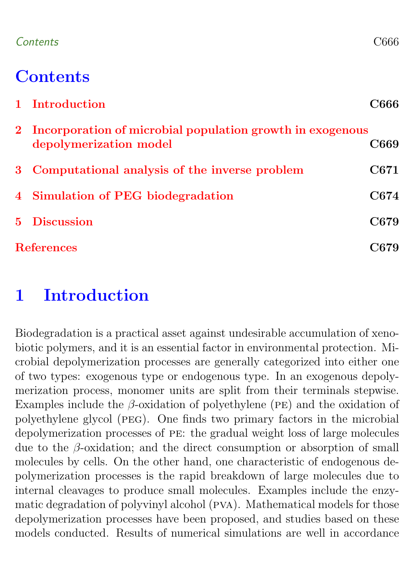### Contents C666

### **Contents**

|                   | 1 Introduction                                                                        | C666 |
|-------------------|---------------------------------------------------------------------------------------|------|
|                   | 2 Incorporation of microbial population growth in exogenous<br>depolymerization model | C669 |
|                   | 3 Computational analysis of the inverse problem                                       | C671 |
|                   | 4 Simulation of PEG biodegradation                                                    | C674 |
|                   | 5 Discussion                                                                          | C679 |
| <b>References</b> |                                                                                       | 2679 |

### <span id="page-1-0"></span>1 Introduction

Biodegradation is a practical asset against undesirable accumulation of xenobiotic polymers, and it is an essential factor in environmental protection. Microbial depolymerization processes are generally categorized into either one of two types: exogenous type or endogenous type. In an exogenous depolymerization process, monomer units are split from their terminals stepwise. Examples include the  $\beta$ -oxidation of polyethylene (PE) and the oxidation of polyethylene glycol (peg). One finds two primary factors in the microbial depolymerization processes of pe: the gradual weight loss of large molecules due to the  $\beta$ -oxidation; and the direct consumption or absorption of small molecules by cells. On the other hand, one characteristic of endogenous depolymerization processes is the rapid breakdown of large molecules due to internal cleavages to produce small molecules. Examples include the enzymatic degradation of polyvinyl alcohol (pva). Mathematical models for those depolymerization processes have been proposed, and studies based on these models conducted. Results of numerical simulations are well in accordance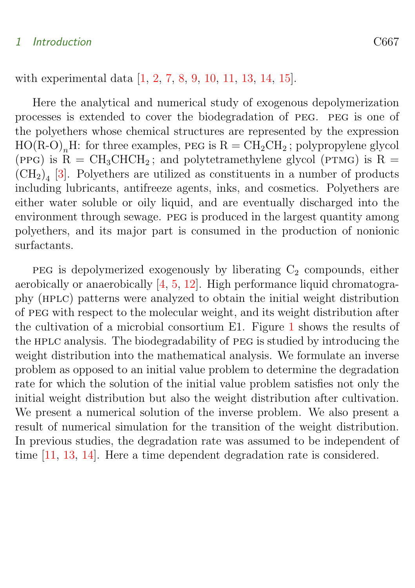#### <span id="page-2-1"></span>1 Introduction C667

with experimental data [\[1,](#page-14-2) [2,](#page-14-3) [7,](#page-15-0) [8,](#page-15-1) [9,](#page-15-2) [10,](#page-15-3) [11,](#page-15-4) [13,](#page-16-0) [14,](#page-16-1) [15\]](#page-16-2).

Here the analytical and numerical study of exogenous depolymerization processes is extended to cover the biodegradation of peg. peg is one of the polyethers whose chemical structures are represented by the expression  $HO(R-O)<sub>n</sub>H$ : for three examples, PEG is  $R = CH<sub>2</sub>CH<sub>2</sub>$ ; polypropylene glycol (PPG) is R =  $CH_3CHCH_2$ ; and polytetramethylene glycol (PTMG) is R =  $(\text{CH}_2)_4$  [\[3\]](#page-14-4). Polyethers are utilized as constituents in a number of products including lubricants, antifreeze agents, inks, and cosmetics. Polyethers are either water soluble or oily liquid, and are eventually discharged into the environment through sewage. peg is produced in the largest quantity among polyethers, and its major part is consumed in the production of nonionic surfactants.

<span id="page-2-0"></span>peg is depolymerized exogenously by liberating  $C_2$  compounds, either aerobically or anaerobically [\[4,](#page-15-5) [5,](#page-15-6) [12\]](#page-16-3). High performance liquid chromatography (hplc) patterns were analyzed to obtain the initial weight distribution of peg with respect to the molecular weight, and its weight distribution after the cultivation of a microbial consortium E1. Figure [1](#page-3-0) shows the results of the hplc analysis. The biodegradability of peg is studied by introducing the weight distribution into the mathematical analysis. We formulate an inverse problem as opposed to an initial value problem to determine the degradation rate for which the solution of the initial value problem satisfies not only the initial weight distribution but also the weight distribution after cultivation. We present a numerical solution of the inverse problem. We also present a result of numerical simulation for the transition of the weight distribution. In previous studies, the degradation rate was assumed to be independent of time [\[11,](#page-15-4) [13,](#page-16-0) [14\]](#page-16-1). Here a time dependent degradation rate is considered.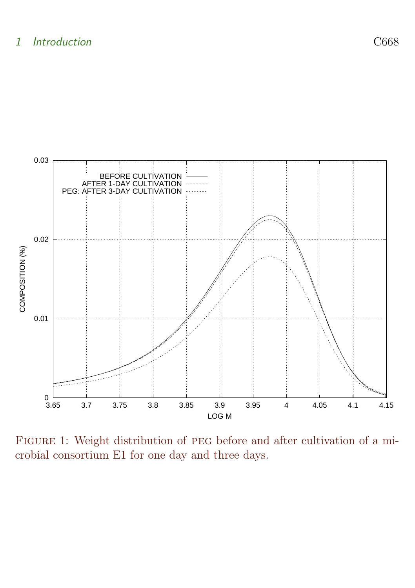

<span id="page-3-0"></span>FIGURE 1: Weight distribution of PEG before and after cultivation of a microbial consortium E1 for one day and three days.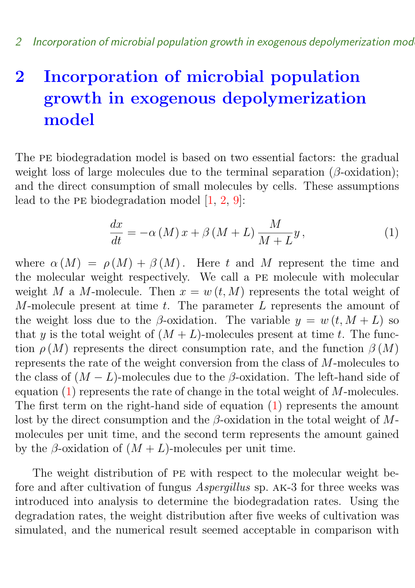### <span id="page-4-1"></span>2 Incorporation of microbial population growth in exogenous depolymerization model

The pe biodegradation model is based on two essential factors: the gradual weight loss of large molecules due to the terminal separation ( $\beta$ -oxidation); and the direct consumption of small molecules by cells. These assumptions lead to the pe biodegradation model [\[1,](#page-14-2) [2,](#page-14-3) [9\]](#page-15-2):

<span id="page-4-0"></span>
$$
\frac{dx}{dt} = -\alpha \left( M \right) x + \beta \left( M + L \right) \frac{M}{M + L} y, \tag{1}
$$

where  $\alpha(M) = \rho(M) + \beta(M)$ . Here t and M represent the time and the molecular weight respectively. We call a pe molecule with molecular weight M a M-molecule. Then  $x = w(t, M)$  represents the total weight of M-molecule present at time  $t$ . The parameter  $L$  represents the amount of the weight loss due to the β-oxidation. The variable  $y = w(t, M + L)$  so that y is the total weight of  $(M + L)$ -molecules present at time t. The function  $\rho(M)$  represents the direct consumption rate, and the function  $\beta(M)$ represents the rate of the weight conversion from the class of M-molecules to the class of  $(M - L)$ -molecules due to the  $\beta$ -oxidation. The left-hand side of equation [\(1\)](#page-4-0) represents the rate of change in the total weight of M-molecules. The first term on the right-hand side of equation [\(1\)](#page-4-0) represents the amount lost by the direct consumption and the  $\beta$ -oxidation in the total weight of Mmolecules per unit time, and the second term represents the amount gained by the  $\beta$ -oxidation of  $(M + L)$ -molecules per unit time.

The weight distribution of pe with respect to the molecular weight before and after cultivation of fungus Aspergillus sp. ak-3 for three weeks was introduced into analysis to determine the biodegradation rates. Using the degradation rates, the weight distribution after five weeks of cultivation was simulated, and the numerical result seemed acceptable in comparison with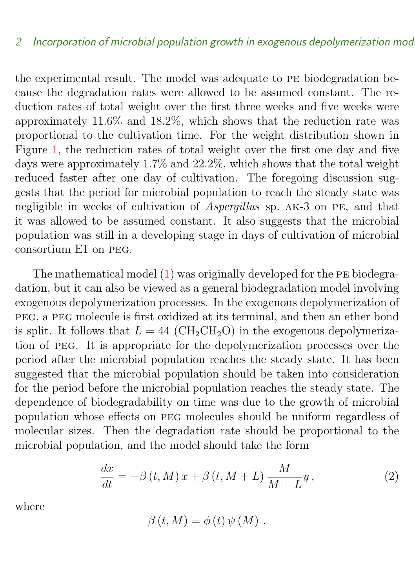the experimental result. The model was adequate to pe biodegradation because the degradation rates were allowed to be assumed constant. The reduction rates of total weight over the first three weeks and five weeks were approximately 11.6% and 18.2%, which shows that the reduction rate was proportional to the cultivation time. For the weight distribution shown in Figure [1,](#page-3-0) the reduction rates of total weight over the first one day and five days were approximately 1.7% and 22.2%, which shows that the total weight reduced faster after one day of cultivation. The foregoing discussion suggests that the period for microbial population to reach the steady state was negligible in weeks of cultivation of *Aspergillus* sp. AK-3 on PE, and that it was allowed to be assumed constant. It also suggests that the microbial population was still in a developing stage in days of cultivation of microbial consortium E1 on peg.

The mathematical model  $(1)$  was originally developed for the PE biodegradation, but it can also be viewed as a general biodegradation model involving exogenous depolymerization processes. In the exogenous depolymerization of peg, a peg molecule is first oxidized at its terminal, and then an ether bond is split. It follows that  $L = 44$  (CH<sub>2</sub>CH<sub>2</sub>O) in the exogenous depolymerization of peg. It is appropriate for the depolymerization processes over the period after the microbial population reaches the steady state. It has been suggested that the microbial population should be taken into consideration for the period before the microbial population reaches the steady state. The dependence of biodegradability on time was due to the growth of microbial population whose effects on peg molecules should be uniform regardless of molecular sizes. Then the degradation rate should be proportional to the microbial population, and the model should take the form

<span id="page-5-0"></span>
$$
\frac{dx}{dt} = -\beta(t, M)x + \beta(t, M + L)\frac{M}{M + L}y,\tag{2}
$$

where

$$
\beta(t, M) = \phi(t) \psi(M) .
$$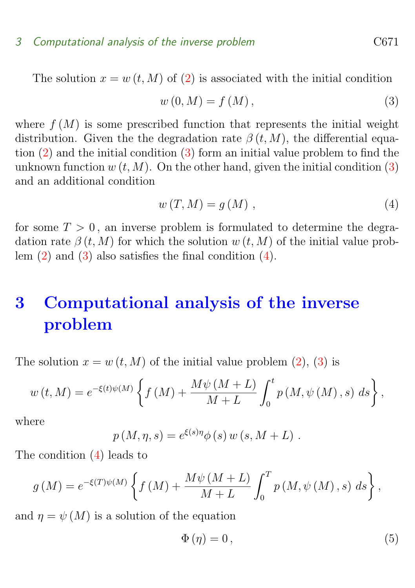#### 3 Computational analysis of the inverse problem C671

The solution  $x = w(t, M)$  of [\(2\)](#page-5-0) is associated with the initial condition

<span id="page-6-1"></span>
$$
w(0,M) = f(M), \qquad (3)
$$

where  $f(M)$  is some prescribed function that represents the initial weight distribution. Given the the degradation rate  $\beta(t, M)$ , the differential equation [\(2\)](#page-5-0) and the initial condition [\(3\)](#page-6-1) form an initial value problem to find the unknown function  $w(t, M)$ . On the other hand, given the initial condition [\(3\)](#page-6-1) and an additional condition

<span id="page-6-2"></span>
$$
w(T, M) = g(M) \t\t(4)
$$

for some  $T > 0$ , an inverse problem is formulated to determine the degradation rate  $\beta(t, M)$  for which the solution w  $(t, M)$  of the initial value problem [\(2\)](#page-5-0) and [\(3\)](#page-6-1) also satisfies the final condition [\(4\)](#page-6-2).

### <span id="page-6-0"></span>3 Computational analysis of the inverse problem

The solution  $x = w(t, M)$  of the initial value problem [\(2\)](#page-5-0), [\(3\)](#page-6-1) is

$$
w(t, M) = e^{-\xi(t)\psi(M)} \left\{ f(M) + \frac{M\psi(M+L)}{M+L} \int_0^t p(M, \psi(M), s) \ ds \right\},
$$

where

$$
p(M, \eta, s) = e^{\xi(s)\eta} \phi(s) w(s, M + L) .
$$

The condition [\(4\)](#page-6-2) leads to

$$
g(M) = e^{-\xi(T)\psi(M)} \left\{ f(M) + \frac{M\psi(M+L)}{M+L} \int_0^T p(M,\psi(M),s) \ ds \right\},\,
$$

and  $\eta = \psi(M)$  is a solution of the equation

$$
\Phi(\eta) = 0, \tag{5}
$$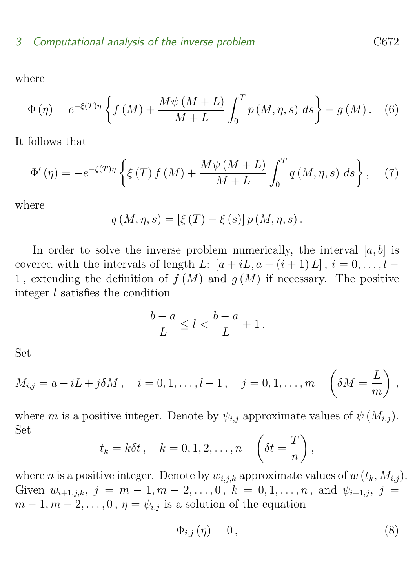where

$$
\Phi(\eta) = e^{-\xi(T)\eta} \left\{ f(M) + \frac{M\psi(M+L)}{M+L} \int_0^T p(M,\eta,s) \, ds \right\} - g(M). \tag{6}
$$

It follows that

$$
\Phi'(\eta) = -e^{-\xi(T)\eta} \left\{ \xi(T) f(M) + \frac{M\psi(M+L)}{M+L} \int_0^T q(M,\eta,s) \, ds \right\}, \tag{7}
$$

where

$$
q(M, \eta, s) = [\xi(T) - \xi(s)] p(M, \eta, s).
$$

In order to solve the inverse problem numerically, the interval  $[a, b]$  is covered with the intervals of length L:  $[a + iL, a + (i + 1) L], i = 0, \ldots, l -$ 1, extending the definition of  $f(M)$  and  $g(M)$  if necessary. The positive integer l satisfies the condition

$$
\frac{b-a}{L} \le l < \frac{b-a}{L} + 1 \, .
$$

Set

$$
M_{i,j} = a + iL + j\delta M, \quad i = 0, 1, ..., l - 1, \quad j = 0, 1, ..., m \quad \left(\delta M = \frac{L}{m}\right),
$$

where m is a positive integer. Denote by  $\psi_{i,j}$  approximate values of  $\psi(M_{i,j})$ . Set

$$
t_k = k\delta t, \quad k = 0, 1, 2, \dots, n \quad \left(\delta t = \frac{T}{n}\right),
$$

where *n* is a positive integer. Denote by  $w_{i,j,k}$  approximate values of  $w(t_k, M_{i,j})$ . Given  $w_{i+1,j,k}, j = m-1, m-2, \ldots, 0, k = 0, 1, \ldots, n$ , and  $\psi_{i+1,j}, j =$  $m-1, m-2, \ldots, 0, \eta = \psi_{i,j}$  is a solution of the equation

<span id="page-7-0"></span>
$$
\Phi_{i,j}\left(\eta\right) = 0\,,\tag{8}
$$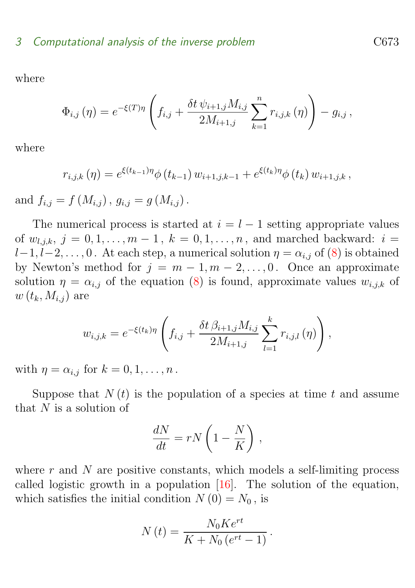<span id="page-8-0"></span>where

$$
\Phi_{i,j}(\eta) = e^{-\xi(T)\eta} \left( f_{i,j} + \frac{\delta t \psi_{i+1,j} M_{i,j}}{2M_{i+1,j}} \sum_{k=1}^n r_{i,j,k}(\eta) \right) - g_{i,j},
$$

where

$$
r_{i,j,k}(\eta) = e^{\xi(t_{k-1})\eta} \phi(t_{k-1}) w_{i+1,j,k-1} + e^{\xi(t_k)\eta} \phi(t_k) w_{i+1,j,k},
$$

and  $f_{i,j} = f(M_{i,j})$ ,  $q_{i,j} = q(M_{i,j})$ .

The numerical process is started at  $i = l - 1$  setting appropriate values of  $w_{i,j,k}, j = 0,1,...,m-1, k = 0,1,...,n$ , and marched backward:  $i =$  $l-1, l-2, \ldots, 0$ . At each step, a numerical solution  $\eta = \alpha_{i,j}$  of  $(8)$  is obtained by Newton's method for  $j = m - 1, m - 2, \ldots, 0$ . Once an approximate solution  $\eta = \alpha_{i,j}$  of the equation [\(8\)](#page-7-0) is found, approximate values  $w_{i,j,k}$  of  $w(t_k, M_{i,j})$  are

$$
w_{i,j,k} = e^{-\xi(t_k)\eta} \left( f_{i,j} + \frac{\delta t \,\beta_{i+1,j} M_{i,j}}{2M_{i+1,j}} \sum_{l=1}^k r_{i,j,l}(\eta) \right),
$$

with  $\eta = \alpha_{i,j}$  for  $k = 0, 1, \ldots, n$ .

Suppose that  $N(t)$  is the population of a species at time t and assume that  $N$  is a solution of

$$
\frac{dN}{dt} = rN\left(1 - \frac{N}{K}\right),\,
$$

where  $r$  and  $N$  are positive constants, which models a self-limiting process called logistic growth in a population [\[16\]](#page-16-4). The solution of the equation, which satisfies the initial condition  $N(0) = N_0$ , is

$$
N(t) = \frac{N_0 K e^{rt}}{K + N_0 (e^{rt} - 1)}.
$$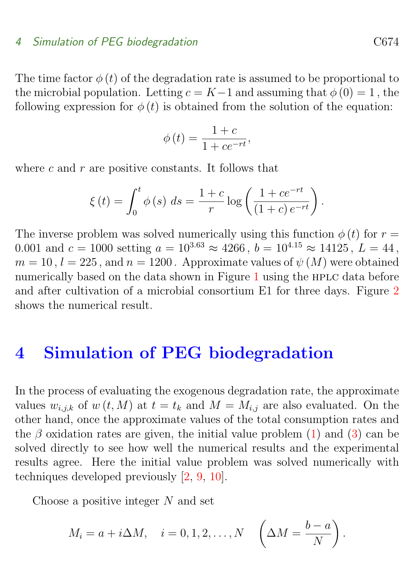#### <span id="page-9-1"></span>4 Simulation of PEG biodegradation contracts control control control control control control control control control control control control control control control control control control control control control control c

The time factor  $\phi(t)$  of the degradation rate is assumed to be proportional to the microbial population. Letting  $c = K-1$  and assuming that  $\phi(0) = 1$ , the following expression for  $\phi(t)$  is obtained from the solution of the equation:

$$
\phi(t) = \frac{1+c}{1+ce^{-rt}},
$$

where  $c$  and  $r$  are positive constants. It follows that

$$
\xi(t) = \int_0^t \phi(s) \ ds = \frac{1+c}{r} \log \left( \frac{1+ce^{-rt}}{(1+c) e^{-rt}} \right).
$$

The inverse problem was solved numerically using this function  $\phi(t)$  for  $r =$ 0.001 and  $c = 1000$  setting  $a = 10^{3.63} \approx 4266$ ,  $b = 10^{4.15} \approx 14125$ ,  $L = 44$ ,  $m = 10$ ,  $l = 225$ , and  $n = 1200$ . Approximate values of  $\psi(M)$  were obtained numerically based on the data shown in Figure [1](#page-3-0) using the HPLC data before and after cultivation of a microbial consortium E1 for three days. Figure [2](#page-10-0) shows the numerical result.

### <span id="page-9-0"></span>4 Simulation of PEG biodegradation

In the process of evaluating the exogenous degradation rate, the approximate values  $w_{i,j,k}$  of  $w(t, M)$  at  $t = t_k$  and  $M = M_{i,j}$  are also evaluated. On the other hand, once the approximate values of the total consumption rates and the  $\beta$  oxidation rates are given, the initial value problem [\(1\)](#page-4-0) and [\(3\)](#page-6-1) can be solved directly to see how well the numerical results and the experimental results agree. Here the initial value problem was solved numerically with techniques developed previously [\[2,](#page-14-3) [9,](#page-15-2) [10\]](#page-15-3).

Choose a positive integer  $N$  and set

$$
M_i = a + i\Delta M, \quad i = 0, 1, 2, \dots, N \quad \left(\Delta M = \frac{b-a}{N}\right).
$$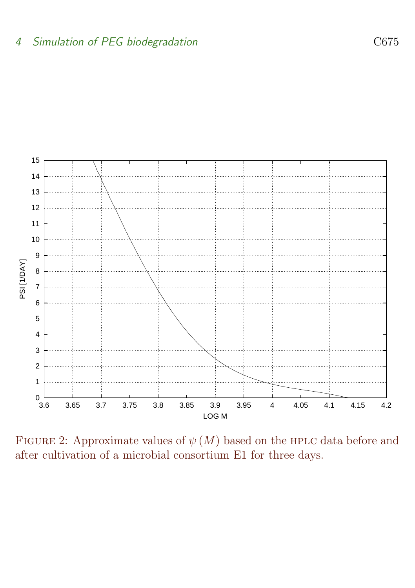

<span id="page-10-0"></span>FIGURE 2: Approximate values of  $\psi(M)$  based on the HPLC data before and after cultivation of a microbial consortium E1 for three days.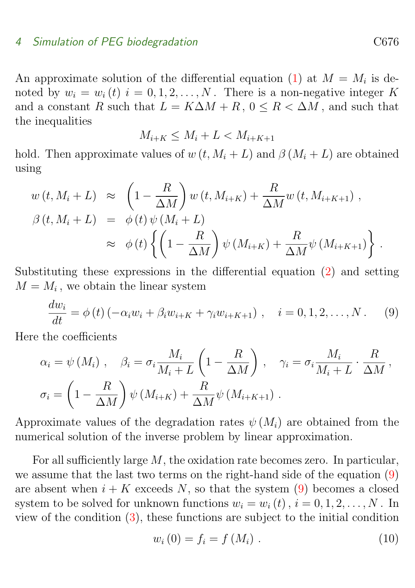#### 4 Simulation of PEG biodegradation C676

An approximate solution of the differential equation [\(1\)](#page-4-0) at  $M = M_i$  is denoted by  $w_i = w_i(t)$   $i = 0, 1, 2, ..., N$ . There is a non-negative integer K and a constant R such that  $L = K\Delta M + R$ ,  $0 \le R \le \Delta M$ , and such that the inequalities

$$
M_{i+K} \le M_i + L < M_{i+K+1}
$$

hold. Then approximate values of  $w(t, M_i + L)$  and  $\beta(M_i + L)$  are obtained using

$$
w(t, M_i + L) \approx \left(1 - \frac{R}{\Delta M}\right) w(t, M_{i+K}) + \frac{R}{\Delta M} w(t, M_{i+K+1}),
$$
  
\n
$$
\beta(t, M_i + L) = \phi(t) \psi(M_i + L)
$$
  
\n
$$
\approx \phi(t) \left\{ \left(1 - \frac{R}{\Delta M}\right) \psi(M_{i+K}) + \frac{R}{\Delta M} \psi(M_{i+K+1}) \right\}.
$$

Substituting these expressions in the differential equation [\(2\)](#page-5-0) and setting  $M = M_i$ , we obtain the linear system

<span id="page-11-0"></span>
$$
\frac{dw_i}{dt} = \phi(t) \left( -\alpha_i w_i + \beta_i w_{i+K} + \gamma_i w_{i+K+1} \right), \quad i = 0, 1, 2, \dots, N. \tag{9}
$$

Here the coefficients

$$
\alpha_i = \psi(M_i), \quad \beta_i = \sigma_i \frac{M_i}{M_i + L} \left( 1 - \frac{R}{\Delta M} \right), \quad \gamma_i = \sigma_i \frac{M_i}{M_i + L} \cdot \frac{R}{\Delta M},
$$

$$
\sigma_i = \left( 1 - \frac{R}{\Delta M} \right) \psi(M_{i+K}) + \frac{R}{\Delta M} \psi(M_{i+K+1}).
$$

Approximate values of the degradation rates  $\psi(M_i)$  are obtained from the numerical solution of the inverse problem by linear approximation.

For all sufficiently large  $M$ , the oxidation rate becomes zero. In particular, we assume that the last two terms on the right-hand side of the equation [\(9\)](#page-11-0) are absent when  $i + K$  exceeds N, so that the system [\(9\)](#page-11-0) becomes a closed system to be solved for unknown functions  $w_i = w_i(t)$ ,  $i = 0, 1, 2, ..., N$ . In view of the condition  $(3)$ , these functions are subject to the initial condition

<span id="page-11-1"></span>
$$
w_i(0) = f_i = f(M_i) . \t\t(10)
$$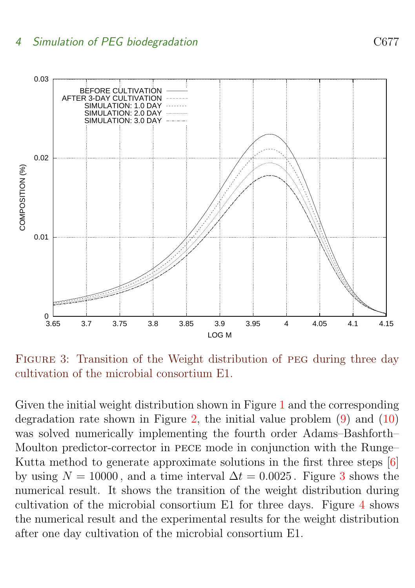<span id="page-12-1"></span>

<span id="page-12-0"></span>FIGURE 3: Transition of the Weight distribution of PEG during three day cultivation of the microbial consortium E1.

Given the initial weight distribution shown in Figure [1](#page-3-0) and the corresponding degradation rate shown in Figure [2,](#page-10-0) the initial value problem  $(9)$  and  $(10)$ was solved numerically implementing the fourth order Adams–Bashforth– Moulton predictor-corrector in pece mode in conjunction with the Runge– Kutta method to generate approximate solutions in the first three steps [\[6\]](#page-15-7) by using  $N = 10000$ , and a time interval  $\Delta t = 0.0025$ . Figure [3](#page-12-0) shows the numerical result. It shows the transition of the weight distribution during cultivation of the microbial consortium E1 for three days. Figure [4](#page-13-0) shows the numerical result and the experimental results for the weight distribution after one day cultivation of the microbial consortium E1.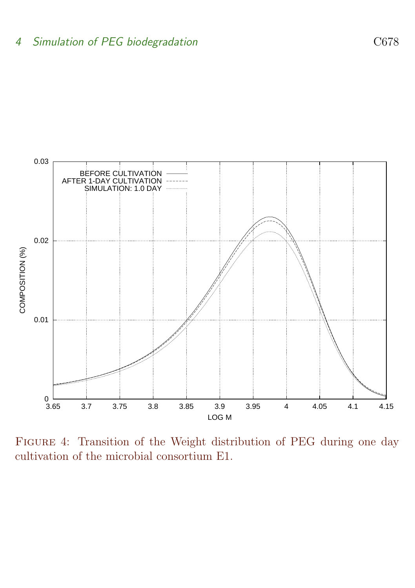

<span id="page-13-0"></span>Figure 4: Transition of the Weight distribution of PEG during one day cultivation of the microbial consortium E1.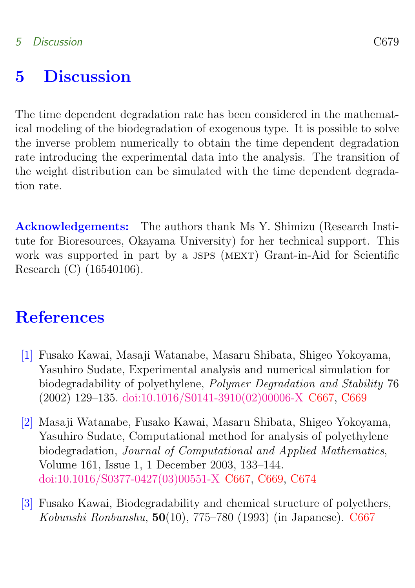### <span id="page-14-1"></span>5 Discussion

The time dependent degradation rate has been considered in the mathematical modeling of the biodegradation of exogenous type. It is possible to solve the inverse problem numerically to obtain the time dependent degradation rate introducing the experimental data into the analysis. The transition of the weight distribution can be simulated with the time dependent degradation rate.

Acknowledgements: The authors thank Ms Y. Shimizu (Research Institute for Bioresources, Okayama University) for her technical support. This work was supported in part by a JSPS (MEXT) Grant-in-Aid for Scientific Research (C) (16540106).

## References

- <span id="page-14-2"></span><span id="page-14-0"></span>[1] Fusako Kawai, Masaji Watanabe, Masaru Shibata, Shigeo Yokoyama, Yasuhiro Sudate, Experimental analysis and numerical simulation for biodegradability of polyethylene, Polymer Degradation and Stability 76 (2002) 129–135. [doi:10.1016/S0141-3910\(02\)00006-X](http://dx.doi.org/10.1016/S0141-3910(02)00006-X) [C667,](#page-2-1) [C669](#page-4-1)
- <span id="page-14-3"></span>[2] Masaji Watanabe, Fusako Kawai, Masaru Shibata, Shigeo Yokoyama, Yasuhiro Sudate, Computational method for analysis of polyethylene biodegradation, Journal of Computational and Applied Mathematics, Volume 161, Issue 1, 1 December 2003, 133–144. [doi:10.1016/S0377-0427\(03\)00551-X](http://dx.doi.org/10.1016/S0377-0427(03)00551-X) [C667,](#page-2-1) [C669,](#page-4-1) [C674](#page-9-1)
- <span id="page-14-4"></span>[3] Fusako Kawai, Biodegradability and chemical structure of polyethers, Kobunshi Ronbunshu,  $50(10)$ , 775–780 (1993) (in Japanese). [C667](#page-2-1)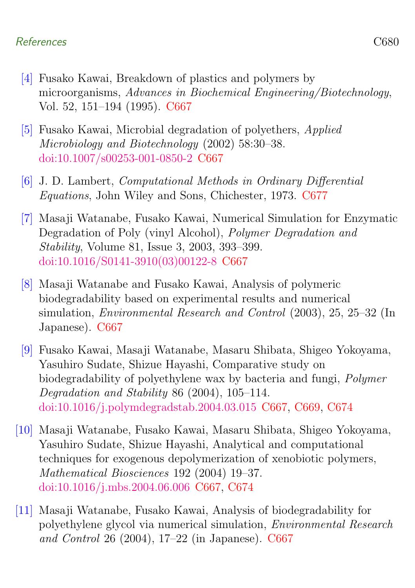### References C680

- <span id="page-15-5"></span>[4] Fusako Kawai, Breakdown of plastics and polymers by microorganisms, Advances in Biochemical Engineering/Biotechnology, Vol. 52, 151–194 (1995). [C667](#page-2-1)
- <span id="page-15-6"></span>[5] Fusako Kawai, Microbial degradation of polyethers, Applied Microbiology and Biotechnology (2002) 58:30–38. [doi:10.1007/s00253-001-0850-2](http://dx.doi.org/10.1007/s00253-001-0850-2) [C667](#page-2-1)
- <span id="page-15-7"></span>[6] J. D. Lambert, Computational Methods in Ordinary Differential Equations, John Wiley and Sons, Chichester, 1973. [C677](#page-12-1)
- <span id="page-15-0"></span>[7] Masaji Watanabe, Fusako Kawai, Numerical Simulation for Enzymatic Degradation of Poly (vinyl Alcohol), Polymer Degradation and Stability, Volume 81, Issue 3, 2003, 393–399. [doi:10.1016/S0141-3910\(03\)00122-8](http://dx.doi.org/10.1016/S0141-3910(03)00122-8) [C667](#page-2-1)
- <span id="page-15-1"></span>[8] Masaji Watanabe and Fusako Kawai, Analysis of polymeric biodegradability based on experimental results and numerical simulation, Environmental Research and Control (2003), 25, 25–32 (In Japanese). [C667](#page-2-1)
- <span id="page-15-2"></span>[9] Fusako Kawai, Masaji Watanabe, Masaru Shibata, Shigeo Yokoyama, Yasuhiro Sudate, Shizue Hayashi, Comparative study on biodegradability of polyethylene wax by bacteria and fungi, Polymer Degradation and Stability 86 (2004), 105–114. [doi:10.1016/j.polymdegradstab.2004.03.015](http://dx.doi.org/10.1016/j.polymdegradstab.2004.03.015) [C667,](#page-2-1) [C669,](#page-4-1) [C674](#page-9-1)
- <span id="page-15-3"></span>[10] Masaji Watanabe, Fusako Kawai, Masaru Shibata, Shigeo Yokoyama, Yasuhiro Sudate, Shizue Hayashi, Analytical and computational techniques for exogenous depolymerization of xenobiotic polymers, Mathematical Biosciences 192 (2004) 19–37. [doi:10.1016/j.mbs.2004.06.006](http://dx.doi.org/10.1016/j.mbs.2004.06.006) [C667,](#page-2-1) [C674](#page-9-1)
- <span id="page-15-4"></span>[11] Masaji Watanabe, Fusako Kawai, Analysis of biodegradability for polyethylene glycol via numerical simulation, Environmental Research and Control 26 (2004), 17–22 (in Japanese). [C667](#page-2-1)